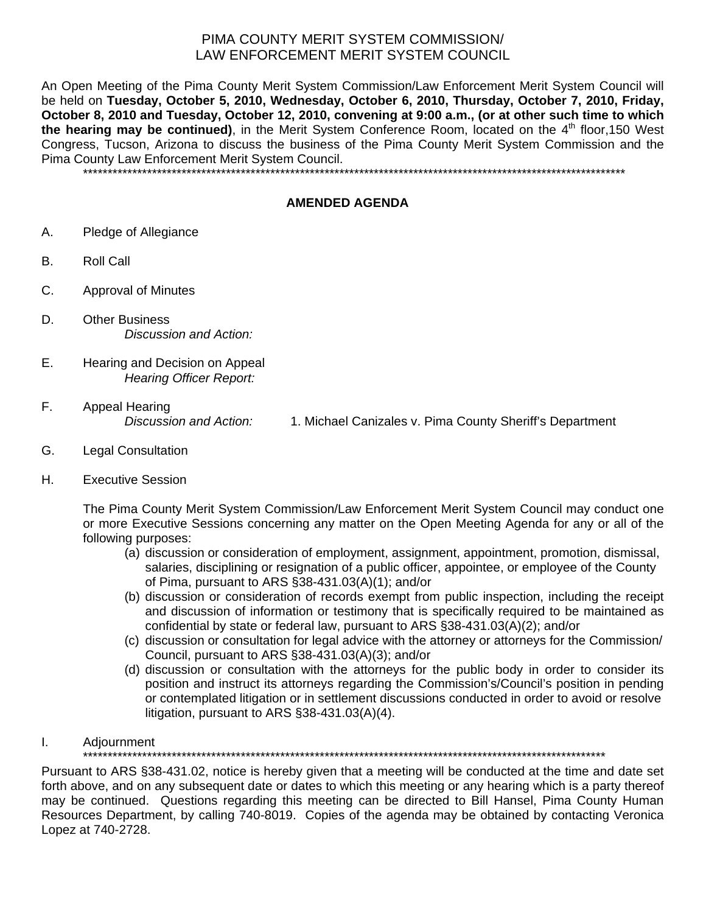## PIMA COUNTY MERIT SYSTEM COMMISSION/ LAW ENFORCEMENT MERIT SYSTEM COUNCIL

An Open Meeting of the Pima County Merit System Commission/Law Enforcement Merit System Council will be held on **Tuesday, October 5, 2010, Wednesday, October 6, 2010, Thursday, October 7, 2010, Friday, October 8, 2010 and Tuesday, October 12, 2010, convening at 9:00 a.m., (or at other such time to which the hearing may be continued)**, in the Merit System Conference Room, located on the 4<sup>th</sup> floor,150 West Congress, Tucson, Arizona to discuss the business of the Pima County Merit System Commission and the Pima County Law Enforcement Merit System Council.

\*\*\*\*\*\*\*\*\*\*\*\*\*\*\*\*\*\*\*\*\*\*\*\*\*\*\*\*\*\*\*\*\*\*\*\*\*\*\*\*\*\*\*\*\*\*\*\*\*\*\*\*\*\*\*\*\*\*\*\*\*\*\*\*\*\*\*\*\*\*\*\*\*\*\*\*\*\*\*\*\*\*\*\*\*\*\*\*\*\*\*\*\*\*\*\*\*\*\*\*\*\*\*\*\*\*\*\*\*\*

## **AMENDED AGENDA**

- A. Pledge of Allegiance
- B. Roll Call
- C. Approval of Minutes
- D. Other Business *Discussion and Action:*
- E. Hearing and Decision on Appeal *Hearing Officer Report:*
- F. Appeal Hearing

*Discussion and Action:* 1. Michael Canizales v. Pima County Sheriff's Department

- G. Legal Consultation
- H. Executive Session

The Pima County Merit System Commission/Law Enforcement Merit System Council may conduct one or more Executive Sessions concerning any matter on the Open Meeting Agenda for any or all of the following purposes:

- (a) discussion or consideration of employment, assignment, appointment, promotion, dismissal, salaries, disciplining or resignation of a public officer, appointee, or employee of the County of Pima, pursuant to ARS §38-431.03(A)(1); and/or
- (b) discussion or consideration of records exempt from public inspection, including the receipt and discussion of information or testimony that is specifically required to be maintained as confidential by state or federal law, pursuant to ARS §38-431.03(A)(2); and/or
- (c) discussion or consultation for legal advice with the attorney or attorneys for the Commission/ Council, pursuant to ARS §38-431.03(A)(3); and/or
- (d) discussion or consultation with the attorneys for the public body in order to consider its position and instruct its attorneys regarding the Commission's/Council's position in pending or contemplated litigation or in settlement discussions conducted in order to avoid or resolve litigation, pursuant to ARS §38-431.03(A)(4).

## I. Adjournment

\*\*\*\*\*\*\*\*\*\*\*\*\*\*\*\*\*\*\*\*\*\*\*\*\*\*\*\*\*\*\*\*\*\*\*\*\*\*\*\*\*\*\*\*\*\*\*\*\*\*\*\*\*\*\*\*\*\*\*\*\*\*\*\*\*\*\*\*\*\*\*\*\*\*\*\*\*\*\*\*\*\*\*\*\*\*\*\*\*\*\*\*\*\*\*\*\*\*\*\*\*\*\*\*\*\*

Pursuant to ARS §38-431.02, notice is hereby given that a meeting will be conducted at the time and date set forth above, and on any subsequent date or dates to which this meeting or any hearing which is a party thereof may be continued. Questions regarding this meeting can be directed to Bill Hansel, Pima County Human Resources Department, by calling 740-8019. Copies of the agenda may be obtained by contacting Veronica Lopez at 740-2728.